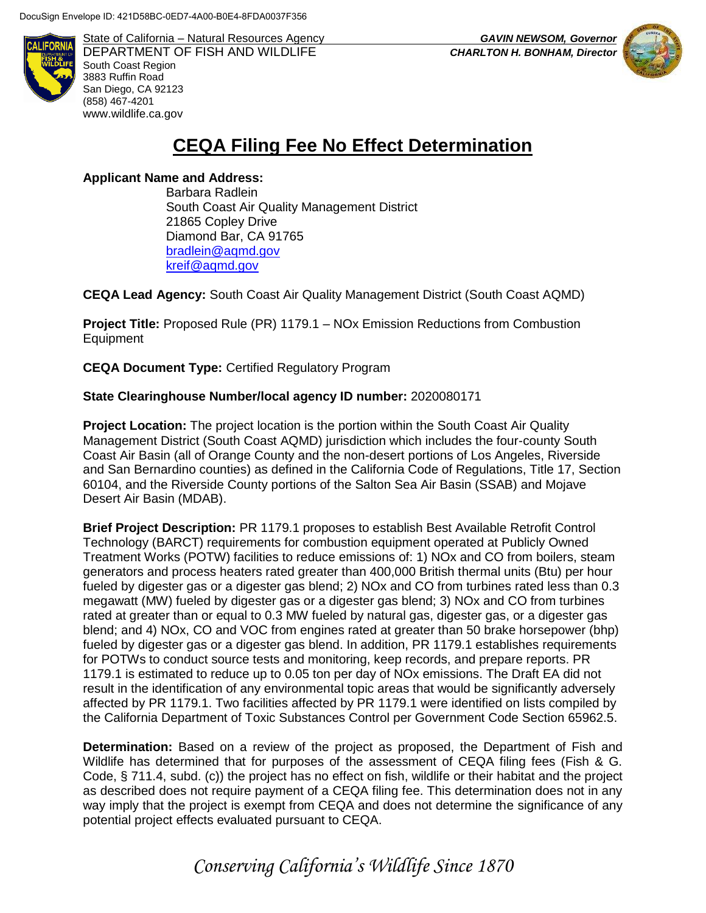

State of California – Natural Resources Agency *GAVIN NEWSOM, Governor* DEPARTMENT OF FISH AND WILDLIFE *CHARLTON H. BONHAM, Director*  South Coast Region 3883 Ruffin Road San Diego, CA 92123 (858) 467-4201 [www.wildlife.ca.gov](http://www.wildlife.ca.gov/)



## **CEQA Filing Fee No Effect Determination**

**Applicant Name and Address:**

Barbara Radlein South Coast Air Quality Management District 21865 Copley Drive Diamond Bar, CA 91765 [bradlein@aqmd.gov](mailto:bradlein@aqmd.gov) [kreif@aqmd.gov](mailto:kreif@aqmd.gov)

**CEQA Lead Agency:** South Coast Air Quality Management District (South Coast AQMD)

**Project Title:** Proposed Rule (PR) 1179.1 – NOx Emission Reductions from Combustion Equipment

**CEQA Document Type:** Certified Regulatory Program

## **State Clearinghouse Number/local agency ID number:** 2020080171

**Project Location:** The project location is the portion within the South Coast Air Quality Management District (South Coast AQMD) jurisdiction which includes the four-county South Coast Air Basin (all of Orange County and the non-desert portions of Los Angeles, Riverside and San Bernardino counties) as defined in the California Code of Regulations, Title 17, Section 60104, and the Riverside County portions of the Salton Sea Air Basin (SSAB) and Mojave Desert Air Basin (MDAB).

**Brief Project Description:** PR 1179.1 proposes to establish Best Available Retrofit Control Technology (BARCT) requirements for combustion equipment operated at Publicly Owned Treatment Works (POTW) facilities to reduce emissions of: 1) NOx and CO from boilers, steam generators and process heaters rated greater than 400,000 British thermal units (Btu) per hour fueled by digester gas or a digester gas blend; 2) NOx and CO from turbines rated less than 0.3 megawatt (MW) fueled by digester gas or a digester gas blend; 3) NOx and CO from turbines rated at greater than or equal to 0.3 MW fueled by natural gas, digester gas, or a digester gas blend; and 4) NOx, CO and VOC from engines rated at greater than 50 brake horsepower (bhp) fueled by digester gas or a digester gas blend. In addition, PR 1179.1 establishes requirements for POTWs to conduct source tests and monitoring, keep records, and prepare reports. PR 1179.1 is estimated to reduce up to 0.05 ton per day of NOx emissions. The Draft EA did not result in the identification of any environmental topic areas that would be significantly adversely affected by PR 1179.1. Two facilities affected by PR 1179.1 were identified on lists compiled by the California Department of Toxic Substances Control per Government Code Section 65962.5.

**Determination:** Based on a review of the project as proposed, the Department of Fish and Wildlife has determined that for purposes of the assessment of CEQA filing fees (Fish & G. Code, § 711.4, subd. (c)) the project has no effect on fish, wildlife or their habitat and the project as described does not require payment of a CEQA filing fee. This determination does not in any way imply that the project is exempt from CEQA and does not determine the significance of any potential project effects evaluated pursuant to CEQA.

*Conserving California's Wildlife Since 1870*